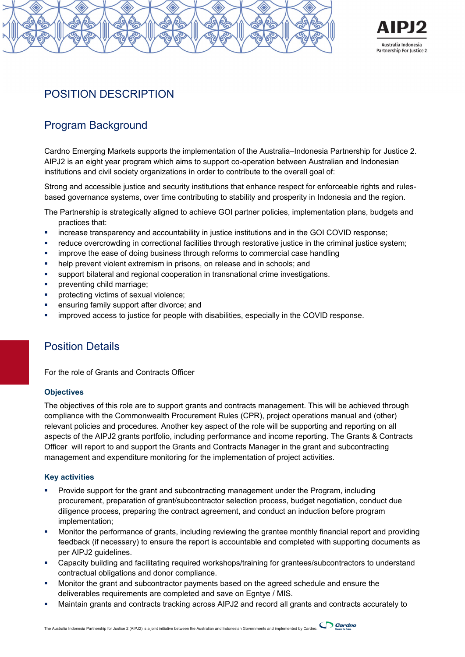



# POSITION DESCRIPTION

# Program Background

Cardno Emerging Markets supports the implementation of the Australia–Indonesia Partnership for Justice 2. AIPJ2 is an eight year program which aims to support co-operation between Australian and Indonesian institutions and civil society organizations in order to contribute to the overall goal of:

Strong and accessible justice and security institutions that enhance respect for enforceable rights and rulesbased governance systems, over time contributing to stability and prosperity in Indonesia and the region.

The Partnership is strategically aligned to achieve GOI partner policies, implementation plans, budgets and practices that:

- increase transparency and accountability in justice institutions and in the GOI COVID response;
- reduce overcrowding in correctional facilities through restorative justice in the criminal justice system;
- **EXED FEE IMPROVE THE EASE OF ADDITION** THEORY IMPROVE the ease of doing business through reforms to commercial case handling
- help prevent violent extremism in prisons, on release and in schools; and
- support bilateral and regional cooperation in transnational crime investigations.
- preventing child marriage;
- **•** protecting victims of sexual violence;
- **EXECUTE:** ensuring family support after divorce; and
- improved access to justice for people with disabilities, especially in the COVID response.

# Position Details

For the role of Grants and Contracts Officer

### **Objectives**

The objectives of this role are to support grants and contracts management. This will be achieved through compliance with the Commonwealth Procurement Rules (CPR), project operations manual and (other) relevant policies and procedures. Another key aspect of the role will be supporting and reporting on all aspects of the AIPJ2 grants portfolio, including performance and income reporting. The Grants & Contracts Officer will report to and support the Grants and Contracts Manager in the grant and subcontracting management and expenditure monitoring for the implementation of project activities.

### **Key activities**

- Provide support for the grant and subcontracting management under the Program, including procurement, preparation of grant/subcontractor selection process, budget negotiation, conduct due diligence process, preparing the contract agreement, and conduct an induction before program implementation;
- Monitor the performance of grants, including reviewing the grantee monthly financial report and providing feedback (if necessary) to ensure the report is accountable and completed with supporting documents as per AIPJ2 guidelines.
- Capacity building and facilitating required workshops/training for grantees/subcontractors to understand contractual obligations and donor compliance.
- Monitor the grant and subcontractor payments based on the agreed schedule and ensure the deliverables requirements are completed and save on Egntye / MIS.
- Maintain grants and contracts tracking across AIPJ2 and record all grants and contracts accurately to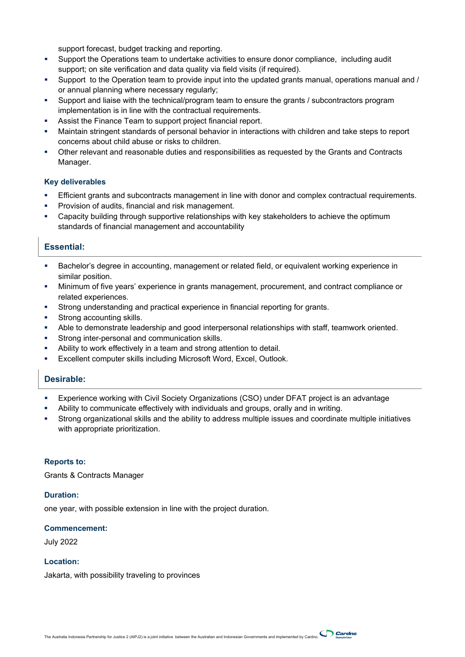support forecast, budget tracking and reporting.

- Support the Operations team to undertake activities to ensure donor compliance, including audit support; on site verification and data quality via field visits (if required).
- Support to the Operation team to provide input into the updated grants manual, operations manual and / or annual planning where necessary regularly;
- Support and liaise with the technical/program team to ensure the grants / subcontractors program implementation is in line with the contractual requirements.
- Assist the Finance Team to support project financial report.
- Maintain stringent standards of personal behavior in interactions with children and take steps to report concerns about child abuse or risks to children.
- Other relevant and reasonable duties and responsibilities as requested by the Grants and Contracts Manager.

#### **Key deliverables**

- Efficient grants and subcontracts management in line with donor and complex contractual requirements.
- Provision of audits, financial and risk management.
- **EXED STARF EXECT STARF I** Capacity building through supportive relationships with key stakeholders to achieve the optimum standards of financial management and accountability

### **Essential:**

- Bachelor's degree in accounting, management or related field, or equivalent working experience in similar position.
- Minimum of five years' experience in grants management, procurement, and contract compliance or related experiences.
- Strong understanding and practical experience in financial reporting for grants.
- **Strong accounting skills.**
- Able to demonstrate leadership and good interpersonal relationships with staff, teamwork oriented.
- **Strong inter-personal and communication skills.**
- Ability to work effectively in a team and strong attention to detail.
- Excellent computer skills including Microsoft Word, Excel, Outlook.

### **Desirable:**

- Experience working with Civil Society Organizations (CSO) under DFAT project is an advantage
- Ability to communicate effectively with individuals and groups, orally and in writing.
- Strong organizational skills and the ability to address multiple issues and coordinate multiple initiatives with appropriate prioritization.

#### **Reports to:**

Grants & Contracts Manager

#### **Duration:**

one year, with possible extension in line with the project duration.

#### **Commencement:**

July 2022

### **Location:**

Jakarta, with possibility traveling to provinces